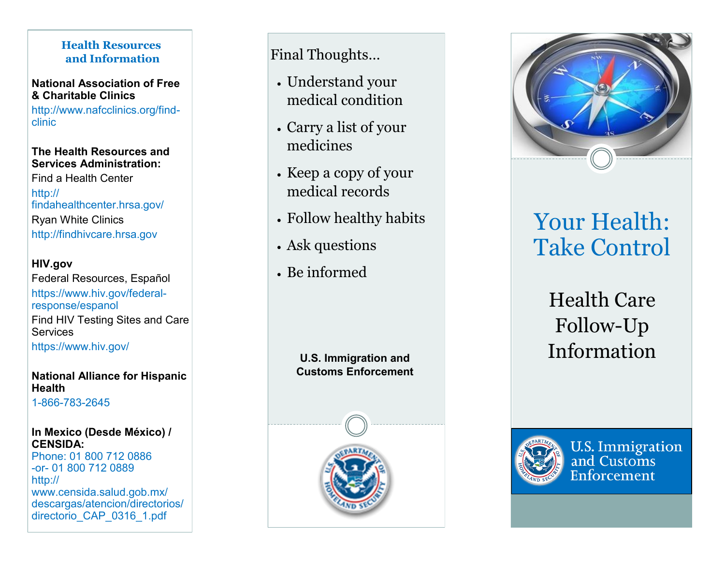## **Health Resources and Information**

**National Association of Free & Charitable Clinics**

http://www.nafcclinics.org/find clinic

### **The Health Resources and Services Administration:**

Find a Health Center http:// findahealthcenter.hrsa.gov/ Ryan White Clinics http://findhivcare.hrsa.gov

## **HIV.gov**

Federal Resources, Español https://www.hiv.gov/federal response/espanol Find HIV Testing Sites and Care **Services** https://www.hiv.gov/

### **National Alliance for Hispanic Health**

1-866-783 -2645

### **In Mexico (Desde México) / CENSIDA:**

Phone: 01 800 712 0886 -or- 01 800 712 0889 http:// www.censida.salud.gob.mx/ descargas/atencion/directorios/ directorio\_CAP\_0316\_1.pdf

## Final Thoughts …

- Understand your medical condition
- Carry a list of your medicines
- Keep a copy of your medical records
- Follow healthy habits
- Ask questions
- Be informed

**U.S. Immigration and Customs Enforcement** 



# Your Health: Take Control

# Health Care Follow-Up Information



**U.S. Immigration** and Customs Enforcement